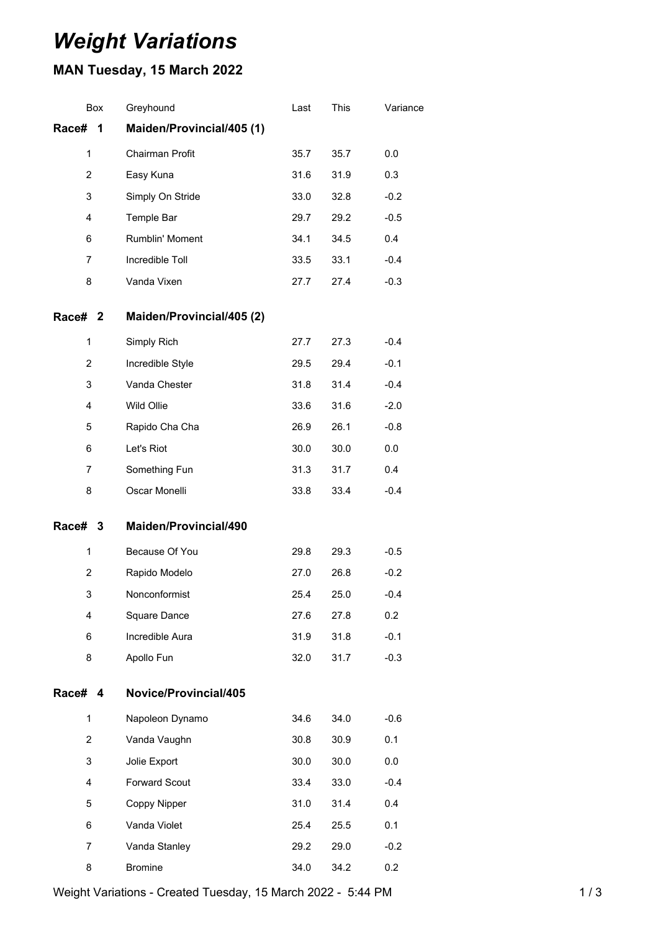## *Weight Variations*

## **MAN Tuesday, 15 March 2022**

|                    | Box | Greyhound                 | Last | This | Variance |
|--------------------|-----|---------------------------|------|------|----------|
| Race#              | 1   | Maiden/Provincial/405 (1) |      |      |          |
| $\mathbf{1}$       |     | Chairman Profit           | 35.7 | 35.7 | 0.0      |
| $\overline{2}$     |     | Easy Kuna                 | 31.6 | 31.9 | 0.3      |
| 3                  |     | Simply On Stride          | 33.0 | 32.8 | $-0.2$   |
| 4                  |     | Temple Bar                | 29.7 | 29.2 | $-0.5$   |
| 6                  |     | Rumblin' Moment           | 34.1 | 34.5 | 0.4      |
| 7                  |     | Incredible Toll           | 33.5 | 33.1 | $-0.4$   |
| 8                  |     | Vanda Vixen               | 27.7 | 27.4 | $-0.3$   |
| Race# <sub>2</sub> |     | Maiden/Provincial/405 (2) |      |      |          |
| $\mathbf{1}$       |     | Simply Rich               | 27.7 | 27.3 | $-0.4$   |
| 2                  |     | Incredible Style          | 29.5 | 29.4 | $-0.1$   |
| 3                  |     | Vanda Chester             | 31.8 | 31.4 | $-0.4$   |
| 4                  |     | Wild Ollie                | 33.6 | 31.6 | $-2.0$   |
| 5                  |     | Rapido Cha Cha            | 26.9 | 26.1 | $-0.8$   |
| 6                  |     | Let's Riot                | 30.0 | 30.0 | 0.0      |
| 7                  |     | Something Fun             | 31.3 | 31.7 | 0.4      |
| 8                  |     | Oscar Monelli             | 33.8 | 33.4 | $-0.4$   |
| Race# 3            |     | Maiden/Provincial/490     |      |      |          |
| $\mathbf{1}$       |     | Because Of You            | 29.8 | 29.3 | $-0.5$   |
| $\overline{2}$     |     | Rapido Modelo             | 27.0 | 26.8 | $-0.2$   |
| 3                  |     | Nonconformist             | 25.4 | 25.0 | $-0.4$   |
| 4                  |     | Square Dance              | 27.6 | 27.8 | 0.2      |
| 6                  |     | Incredible Aura           | 31.9 | 31.8 | $-0.1$   |
| 8                  |     | Apollo Fun                | 32.0 | 31.7 | $-0.3$   |
| Race#              | 4   | Novice/Provincial/405     |      |      |          |
| $\mathbf{1}$       |     | Napoleon Dynamo           | 34.6 | 34.0 | $-0.6$   |
| $\overline{2}$     |     | Vanda Vaughn              | 30.8 | 30.9 | 0.1      |
| 3                  |     | Jolie Export              | 30.0 | 30.0 | 0.0      |
| 4                  |     | Forward Scout             | 33.4 | 33.0 | $-0.4$   |
| 5                  |     | Coppy Nipper              | 31.0 | 31.4 | 0.4      |
| 6                  |     | Vanda Violet              | 25.4 | 25.5 | 0.1      |
| 7                  |     | Vanda Stanley             | 29.2 | 29.0 | $-0.2$   |
| 8                  |     | <b>Bromine</b>            | 34.0 | 34.2 | 0.2      |

Weight Variations - Created Tuesday, 15 March 2022 - 5:44 PM 1 1 1 1 1 1 1 1 3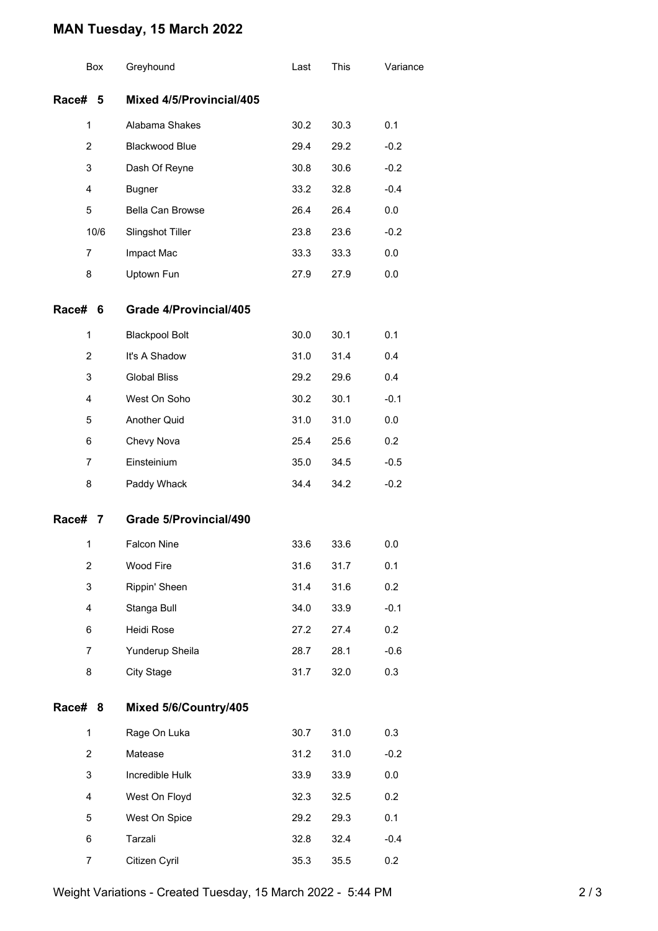## **MAN Tuesday, 15 March 2022**

|                          | Box            | Greyhound                     | Last | This | Variance |
|--------------------------|----------------|-------------------------------|------|------|----------|
| <b>Race#</b>             | 5              | Mixed 4/5/Provincial/405      |      |      |          |
|                          | 1              | Alabama Shakes                | 30.2 | 30.3 | 0.1      |
| $\overline{2}$<br>3<br>4 |                | Blackwood Blue                | 29.4 | 29.2 | $-0.2$   |
|                          |                | Dash Of Reyne                 | 30.8 | 30.6 | $-0.2$   |
|                          |                | <b>Bugner</b>                 | 33.2 | 32.8 | $-0.4$   |
|                          | 5              | Bella Can Browse              | 26.4 | 26.4 | 0.0      |
|                          | 10/6           | Slingshot Tiller              | 23.8 | 23.6 | $-0.2$   |
| 7                        |                | Impact Mac                    | 33.3 | 33.3 | 0.0      |
|                          | 8              | Uptown Fun                    | 27.9 | 27.9 | 0.0      |
| <b>Race#</b>             | 6              | Grade 4/Provincial/405        |      |      |          |
|                          | $\mathbf{1}$   | <b>Blackpool Bolt</b>         | 30.0 | 30.1 | 0.1      |
|                          | $\overline{2}$ | It's A Shadow                 | 31.0 | 31.4 | 0.4      |
|                          | 3              | <b>Global Bliss</b>           | 29.2 | 29.6 | 0.4      |
|                          | 4              | West On Soho                  | 30.2 | 30.1 | $-0.1$   |
|                          | 5              | Another Quid                  | 31.0 | 31.0 | 0.0      |
|                          | 6              | Chevy Nova                    | 25.4 | 25.6 | 0.2      |
|                          | $\overline{7}$ | Einsteinium                   | 35.0 | 34.5 | $-0.5$   |
|                          | 8              | Paddy Whack                   | 34.4 | 34.2 | $-0.2$   |
| Race#                    | 7              | <b>Grade 5/Provincial/490</b> |      |      |          |
|                          | 1              | <b>Falcon Nine</b>            | 33.6 | 33.6 | 0.0      |
|                          | 2              | Wood Fire                     | 31.6 | 31.7 | 0.1      |
| 3                        |                | Rippin' Sheen                 | 31.4 | 31.6 | 0.2      |
|                          | 4              | Stanga Bull                   | 34.0 | 33.9 | $-0.1$   |
|                          | 6              | Heidi Rose                    | 27.2 | 27.4 | 0.2      |
| 7                        |                | Yunderup Sheila               | 28.7 | 28.1 | $-0.6$   |
|                          | 8              | <b>City Stage</b>             | 31.7 | 32.0 | 0.3      |
| Race# 8                  |                | Mixed 5/6/Country/405         |      |      |          |
|                          | 1              | Rage On Luka                  | 30.7 | 31.0 | 0.3      |
| $\overline{2}$<br>3      |                | Matease                       | 31.2 | 31.0 | $-0.2$   |
|                          |                | Incredible Hulk               | 33.9 | 33.9 | 0.0      |
|                          | 4              | West On Floyd                 | 32.3 | 32.5 | 0.2      |
| 5<br>6<br>7              |                | West On Spice                 | 29.2 | 29.3 | 0.1      |
|                          |                | Tarzali                       | 32.8 | 32.4 | $-0.4$   |
|                          |                | Citizen Cyril                 | 35.3 | 35.5 | 0.2      |